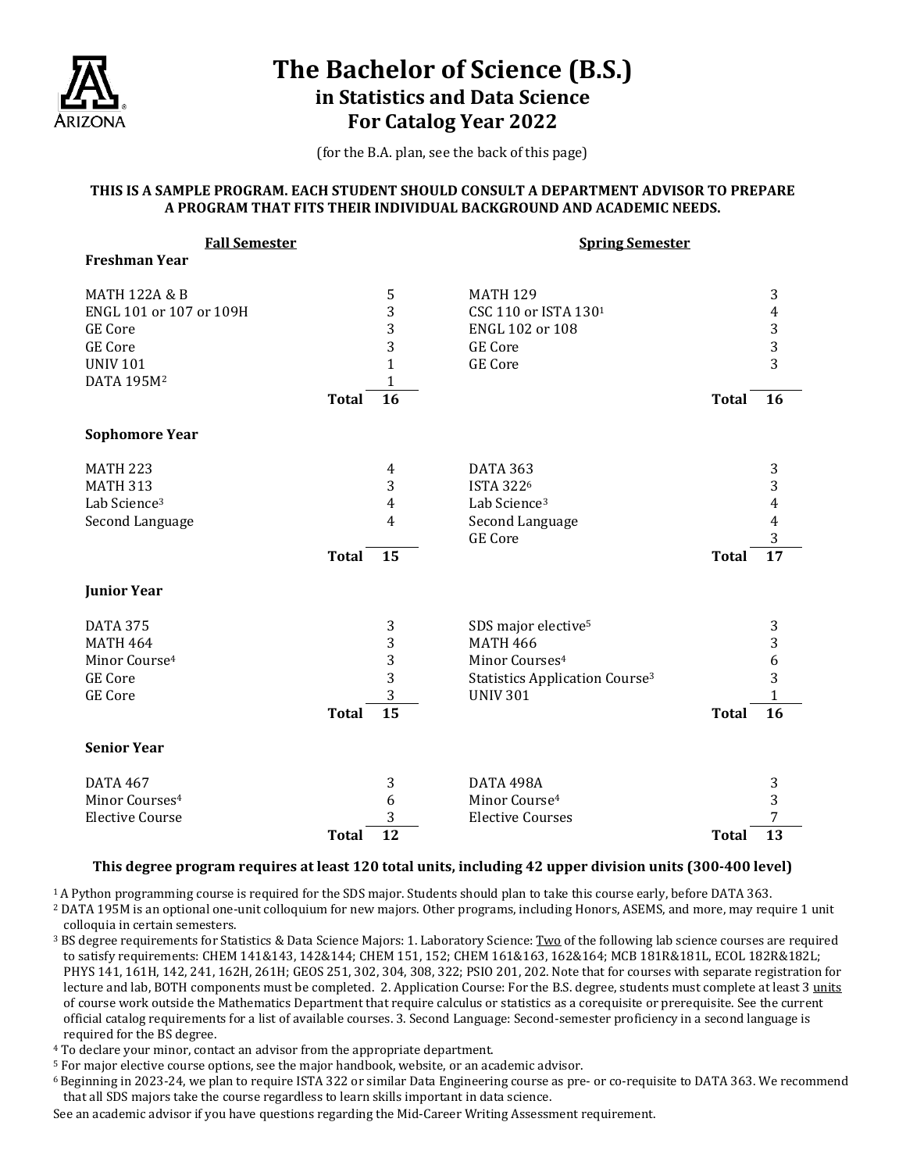

# **The Bachelor of Science (B.S.) in Statistics and Data Science For Catalog Year 2022**

(for the B.A. plan, see the back of this page)

### **THIS IS A SAMPLE PROGRAM. EACH STUDENT SHOULD CONSULT A DEPARTMENT ADVISOR TO PREPARE A PROGRAM THAT FITS THEIR INDIVIDUAL BACKGROUND AND ACADEMIC NEEDS.**

| <b>Fall Semester</b>       |              |              | <b>Spring Semester</b>                           |              |                                            |
|----------------------------|--------------|--------------|--------------------------------------------------|--------------|--------------------------------------------|
| <b>Freshman Year</b>       |              |              |                                                  |              |                                            |
|                            |              |              |                                                  |              |                                            |
| <b>MATH 122A &amp; B</b>   |              | 5            | <b>MATH 129</b>                                  |              | 3                                          |
| ENGL 101 or 107 or 109H    |              | 3            | CSC 110 or ISTA 1301                             |              | 4                                          |
| <b>GE Core</b>             |              | 3            | ENGL 102 or 108                                  |              | $\begin{array}{c} 3 \\ 3 \\ 3 \end{array}$ |
| <b>GE Core</b>             |              | 3            | <b>GE</b> Core                                   |              |                                            |
| <b>UNIV 101</b>            |              | $\mathbf{1}$ | <b>GE</b> Core                                   |              |                                            |
| DATA 195M <sup>2</sup>     |              | $\mathbf{1}$ |                                                  |              |                                            |
|                            | <b>Total</b> | 16           |                                                  | <b>Total</b> | <b>16</b>                                  |
| <b>Sophomore Year</b>      |              |              |                                                  |              |                                            |
| <b>MATH 223</b>            |              | 4            | <b>DATA 363</b>                                  |              | 3                                          |
| <b>MATH 313</b>            |              | 3            | <b>ISTA 3226</b>                                 |              | 3                                          |
| Lab Science <sup>3</sup>   |              | 4            | Lab Science <sup>3</sup>                         |              | 4                                          |
| Second Language            |              | 4            | Second Language                                  |              | $\overline{\mathbf{4}}$                    |
|                            |              |              | <b>GE</b> Core                                   |              | 3                                          |
|                            | <b>Total</b> | 15           |                                                  | <b>Total</b> | 17                                         |
| <b>Junior Year</b>         |              |              |                                                  |              |                                            |
| <b>DATA 375</b>            |              | 3            | SDS major elective <sup>5</sup>                  |              | 3                                          |
| <b>MATH 464</b>            |              | 3            | <b>MATH 466</b>                                  |              | 3                                          |
| Minor Course <sup>4</sup>  |              | 3            | Minor Courses <sup>4</sup>                       |              | 6                                          |
| <b>GE Core</b>             |              | 3            | <b>Statistics Application Course<sup>3</sup></b> |              | 3                                          |
| <b>GE Core</b>             |              | 3            | <b>UNIV 301</b>                                  |              | 1                                          |
|                            | <b>Total</b> | 15           |                                                  | <b>Total</b> | 16                                         |
| <b>Senior Year</b>         |              |              |                                                  |              |                                            |
| <b>DATA 467</b>            |              | 3            | DATA 498A                                        |              | 3                                          |
| Minor Courses <sup>4</sup> |              | 6            | Minor Course <sup>4</sup>                        |              | 3                                          |
| <b>Elective Course</b>     |              | 3            | <b>Elective Courses</b>                          |              | 7                                          |
|                            | <b>Total</b> | 12           |                                                  | <b>Total</b> | 13                                         |
|                            |              |              |                                                  |              |                                            |

### **This degree program requires at least 120 total units, including 42 upper division units (300-400 level)**

1A Python programming course is required for the SDS major. Students should plan to take this course early, before DATA 363.

<sup>2</sup> DATA 195M is an optional one-unit colloquium for new majors. Other programs, including Honors, ASEMS, and more, may require 1 unit colloquia in certain semesters.

<sup>3</sup> BS degree requirements for Statistics & Data Science Majors: 1. Laboratory Science: Two of the following lab science courses are required to satisfy requirements: CHEM 141&143, 142&144; CHEM 151, 152; CHEM 161&163, 162&164; MCB 181R&181L, ECOL 182R&182L; PHYS 141, 161H, 142, 241, 162H, 261H; GEOS 251, 302, 304, 308, 322; PSIO 201, 202. Note that for courses with separate registration for lecture and lab, BOTH components must be completed. 2. Application Course: For the B.S. degree, students must complete at least 3 units of course work outside the Mathematics Department that require calculus or statistics as a corequisite or prerequisite. See the current official catalog requirements for a list of available courses. 3. Second Language: Second-semester proficiency in a second language is required for the BS degree.

<sup>4</sup> To declare your minor, contact an advisor from the appropriate department.

- <sup>5</sup> For major elective course options, see the major handbook, website, or an academic advisor.
- 6 Beginning in 2023-24, we plan to require ISTA 322 or similar Data Engineering course as pre- or co-requisite to DATA 363. We recommend that all SDS majors take the course regardless to learn skills important in data science.

See an academic advisor if you have questions regarding the Mid-Career Writing Assessment requirement.